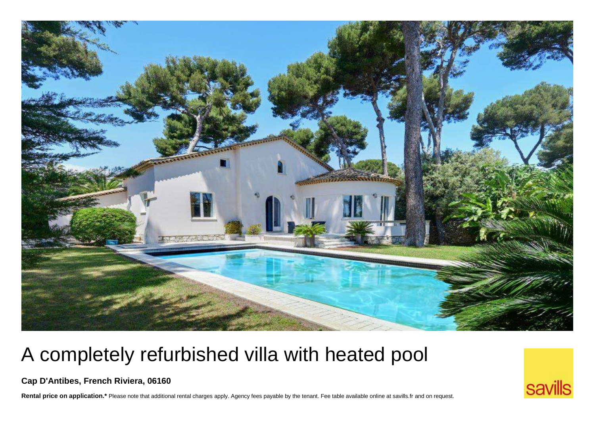

# A completely refurbished villa with heated pool

## **Cap D'Antibes, French Riviera, 06160**

**Rental price on application.\*** Please note that additional rental charges apply. Agency fees payable by the tenant. Fee table available online at savills.fr and on request.

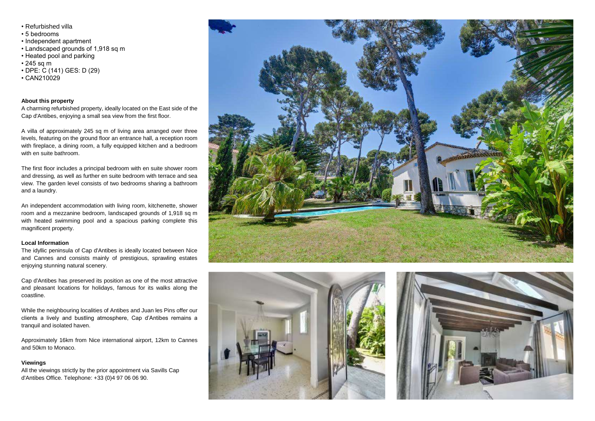- Refurbished villa
- 5 bedrooms
- Independent apartment
- Landscaped grounds of 1,918 sq m
- Heated pool and parking
- 245 sq m
- DPE: C (141) GES: D (29)
- CAN210029

#### **About this property**

A charming refurbished property, ideally located on the East side of the Cap d'Antibes, enjoying a small sea view from the first floor.

A villa of approximately 245 sq m of living area arranged over three levels, featuring on the ground floor an entrance hall, a reception room with fireplace, a dining room, a fully equipped kitchen and a bedroom with en suite bathroom.

The first floor includes a principal bedroom with en suite shower room and dressing, as well as further en suite bedroom with terrace and sea view. The garden level consists of two bedrooms sharing a bathroom and a laundry.

An independent accommodation with living room, kitchenette, shower room and a mezzanine bedroom, landscaped grounds of 1,918 sq m with heated swimming pool and a spacious parking complete this magnificent property.

#### **Local Information**

The idyllic peninsula of Cap d'Antibes is ideally located between Nice and Cannes and consists mainly of prestigious, sprawling estates enjoying stunning natural scenery.

Cap d'Antibes has preserved its position as one of the most attractive and pleasant locations for holidays, famous for its walks along the coastline.

While the neighbouring localities of Antibes and Juan les Pins offer our clients a lively and bustling atmosphere, Cap d'Antibes remains a tranquil and isolated haven.

Approximately 16km from Nice international airport, 12km to Cannes and 50km to Monaco.

### **Viewings**

All the viewings strictly by the prior appointment via Savills Cap d'Antibes Office. Telephone: +33 (0)4 97 06 06 90.





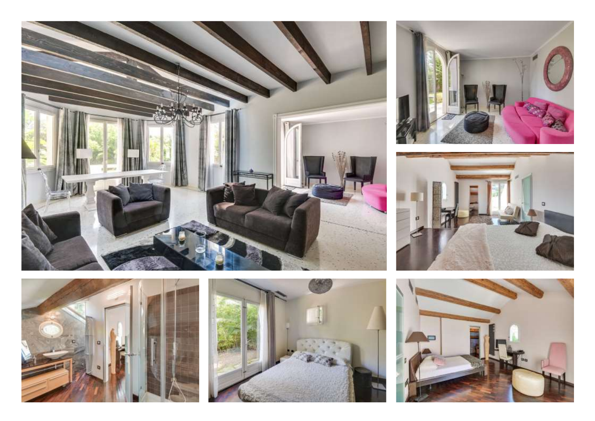